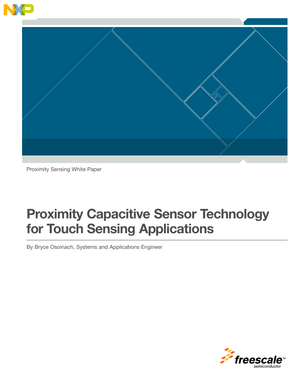

Proximity Sensing White Paper

# Proximity Capacitive Sensor Technology for Touch Sensing Applications

By Bryce Osoinach, Systems and Applications Engineer

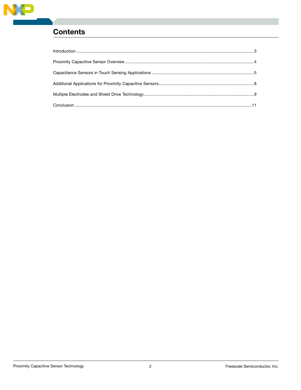

# **Contents**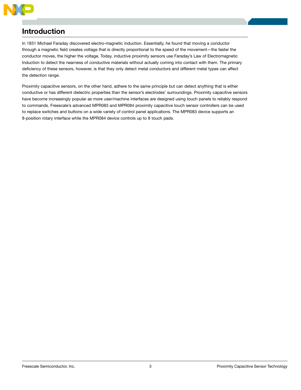

### Introduction

In 1831 Michael Faraday discovered electro-magnetic induction. Essentially, he found that moving a conductor through a magnetic field creates voltage that is directly proportional to the speed of the movement—the faster the conductor moves, the higher the voltage. Today, inductive proximity sensors use Faraday's Law of Electromagnetic Induction to detect the nearness of conductive materials without actually coming into contact with them. The primary deficiency of these sensors, however, is that they only detect metal conductors and different metal types can affect the detection range.

Proximity capacitive sensors, on the other hand, adhere to the same principle but can detect anything that is either conductive or has different dielectric properties than the sensor's electrodes' surroundings. Proximity capacitive sensors have become increasingly popular as more user/machine interfaces are designed using touch panels to reliably respond to commands. Freescale's advanced MPR083 and MPR084 proximity capacitive touch sensor controllers can be used to replace switches and buttons on a wide variety of control panel applications. The MPR083 device supports an 8-position rotary interface while the MPR084 device controls up to 8 touch pads.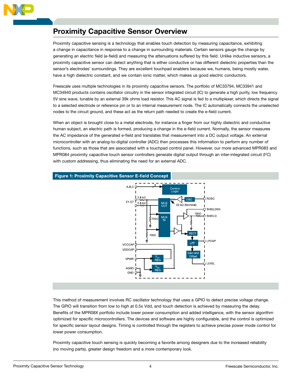

# Proximity Capacitive Sensor Overview

Proximity capacitive sensing is a technology that enables touch detection by measuring capacitance, exhibiting a change in capacitance in response to a change in surrounding materials. Certain sensors gauge the change by generating an electric field (e-field) and measuring the attenuations suffered by this field. Unlike inductive sensors, a proximity capacitive sensor can detect anything that is either conductive or has different dielectric properties than the sensor's electrodes' surroundings. They are excellent touchpad enablers because we, humans, being mostly water, have a high dielectric constant, and we contain ionic matter, which makes us good electric conductors.

Freescale uses multiple technologies in its proximity capacitive sensors. The portfolio of MC33794, MC33941 and MC34940 products contains oscillator circuitry in the sensor integrated circuit (IC) to generate a high purity, low frequency 5V sine wave, tunable by an external 39k ohms load resistor. This AC signal is fed to a multiplexer, which directs the signal to a selected electrode or reference pin or to an internal measurement node. The IC automatically connects the unselected nodes to the circuit ground, and these act as the return path needed to create the e-field current.

When an object is brought close to a metal electrode, for instance a finger from our highly dielectric and conductive human subject, an electric path is formed, producing a change in the e-field current. Normally, the sensor measures the AC impedance of the generated e-field and translates that measurement into a DC output voltage. An external microcontroller with an analog-to-digital controller (ADC) then processes this information to perform any number of functions, such as those that are associated with a touchpad control panel. However, our more advanced MPR083 and MPR084 proximity capacitive touch sensor controllers generate digital output through an inter-integrated circuit (I<sup>2</sup>C) with custom addressing, thus eliminating the need for an external ADC.



### This method of measurement involves RC oscillator technology that uses a GPIO to detect precise voltage change. The GPIO will transition from low to high at 0.5x Vdd, and touch detection is achieved by measuring the delay. Benefits of the MPR08X portfolio include lower power consumption and added intelligence, with the sensor algorithm optimized for specific microcontrollers. The devices and software are highly configurable, and the control is optimized for specific sensor layout designs. Timing is controlled through the registers to achieve precise power mode control for lower power consumption.

Proximity capacitive touch sensing is quickly becoming a favorite among designers due to the increased reliability (no moving parts), greater design freedom and a more contemporary look.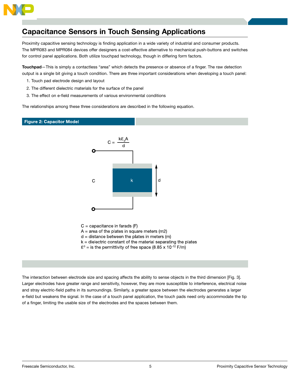

# Capacitance Sensors in Touch Sensing Applications

Proximity capacitive sensing technology is finding application in a wide variety of industrial and consumer products. The MPR083 and MPR084 devices offer designers a cost-effective alternative to mechanical push-buttons and switches for control panel applications. Both utilize touchpad technology, though in differing form factors.

Touchpad-This is simply a contactless "area" which detects the presence or absence of a finger. The raw detection output is a single bit giving a touch condition. There are three important considerations when developing a touch panel:

- 1. Touch pad electrode design and layout
- 2. The different dielectric materials for the surface of the panel
- 3. The effect on e-field measurements of various environmental conditions

The relationships among these three considerations are described in the following equation.

### **Figure 2: Capacitor Model**



 $C =$  capacitance in farads  $(F)$ 

- $A = area$  of the plates in square meters (m2)
- $d =$  distance between the plates in meters (m)
- $k =$  dielectric constant of the material separating the plates
- $\mathcal{E}^0$  = is the permittivity of free space (8.85 x 10<sup>-12</sup> F/m)

The interaction between electrode size and spacing affects the ability to sense objects in the third dimension [Fig. 3]. Larger electrodes have greater range and sensitivity, however, they are more susceptible to interference, electrical noise and stray electric-field paths in its surroundings. Similarly, a greater space between the electrodes generates a larger e-field but weakens the signal. In the case of a touch panel application, the touch pads need only accommodate the tip of a finger, limiting the usable size of the electrodes and the spaces between them.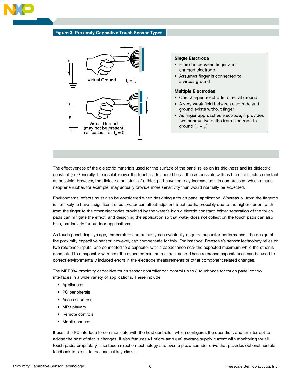

#### **Figure 3: Proximity Capacitive Touch Sensor Types**



#### **Single Electrode**

- E-field is between finger and charged electrode
- Assumes finger is connected to a virtual ground

#### **Multiple Electrodes**

- One charged electrode, other at ground
- A very weak field between electrode and ground exists without finger
- As finger approaches electrode, it provides two conductive paths from electrode to ground  $(I_{E} + I_{D})$

The effectiveness of the dielectric materials used for the surface of the panel relies on its thickness and its dielectric constant (k). Generally, the insulator over the touch pads should be as thin as possible with as high a dielectric constant as possible. However, the dielectric constant of a thick pad covering may increase as it is compressed, which means neoprene rubber, for example, may actually provide more sensitivity than would normally be expected.

Environmental effects must also be considered when designing a touch panel application. Whereas oil from the fingertip is not likely to have a significant effect, water can affect adjacent touch pads, probably due to the higher current path from the finger to the other electrodes provided by the water's high dielectric constant. Wider separation of the touch pads can mitigate the effect, and designing the application so that water does not collect on the touch pads can also help, particularly for outdoor applications.

As touch panel displays age, temperature and humidity can eventually degrade capacitor performance. The design of the proximity capacitive sensor, however, can compensate for this. For instance, Freescale's sensor technology relies on two reference inputs, one connected to a capacitor with a capacitance near the expected maximum while the other is connected to a capacitor with near the expected minimum capacitance. These reference capacitances can be used to correct environmentally induced errors in the electrode measurements or other component related changes.

The MPR084 proximity capacitive touch sensor controller can control up to 8 touchpads for touch panel control interfaces in a wide variety of applications. These include:

- Appliances
- PC peripherals
- Access controls
- MP3 players
- Remote controls
- Mobile phones

It uses the I<sup>2</sup>C interface to communicate with the host controller, which configures the operation, and an interrupt to advise the host of status changes. It also features 41 micro-amp (µA) average supply current with monitoring for all touch pads, proprietary false touch rejection technology and even a piezo sounder drive that provides optional audible feedback to simulate mechanical key clicks.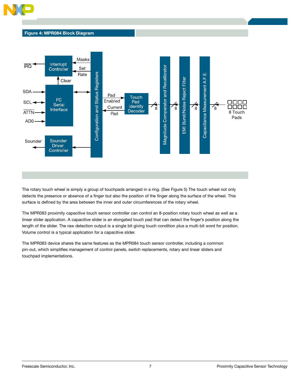

### Figure 4: MPR084 Block Diagram



The rotary touch wheel is simply a group of touchpads arranged in a ring. (See Figure 5) The touch wheel not only detects the presence or absence of a finger but also the position of the finger along the surface of the wheel. This surface is defined by the area between the inner and outer circumferences of the rotary wheel.

The MPR083 proximity capacitive touch sensor controller can control an 8-position rotary touch wheel as well as a linear slider application. A capacitive slider is an elongated touch pad that can detect the finger's position along the length of the slider. The raw detection output is a single bit giving touch condition plus a multi-bit word for position. Volume control is a typical application for a capacitive slider.

The MPR083 device shares the same features as the MPR084 touch sensor controller, including a common pin-out, which simplifies management of control panels, switch replacements, rotary and linear sliders and touchpad implementations.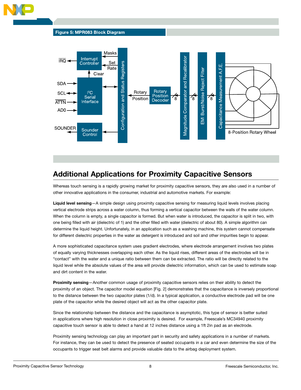



# Additional Applications for Proximity Capacitive Sensors

Whereas touch sensing is a rapidly growing market for proximity capacitive sensors, they are also used in a number of other innovative applications in the consumer, industrial and automotive markets. For example:

Liquid level sensing-A simple design using proximity capacitive sensing for measuring liquid levels involves placing vertical electrode strips across a water column, thus forming a vertical capacitor between the walls of the water column. When the column is empty, a single capacitor is formed. But when water is introduced, the capacitor is split in two, with one being filled with air (dielectric of 1) and the other filled with water (dielectric of about 80). A simple algorithm can determine the liquid height. Unfortunately, in an application such as a washing machine, this system cannot compensate for different dielectric properties in the water as detergent is introduced and soil and other impurities begin to appear.

A more sophisticated capacitance system uses gradient electrodes, where electrode arrangement involves two plates of equally varying thicknesses overlapping each other. As the liquid rises, different areas of the electrodes will be in "contact" with the water and a unique ratio between them can be extracted. The ratio will be directly related to the liquid level while the absolute values of the area will provide dielectric information, which can be used to estimate soap and dirt content in the water.

Proximity sensing—Another common usage of proximity capacitive sensors relies on their ability to detect the proximity of an object. The capacitor model equation [Fig. 2] demonstrates that the capacitance is inversely proportional to the distance between the two capacitor plates (1/d). In a typical application, a conductive electrode pad will be one plate of the capacitor while the desired object will act as the other capacitor plate.

Since the relationship between the distance and the capacitance is asymptotic, this type of sensor is better suited in applications where high resolution in close proximity is desired. For example, Freescale's MC34940 proximity capacitive touch sensor is able to detect a hand at 12 inches distance using a 1ft 2in pad as an electrode.

Proximity sensing technology can play an important part in security and safety applications in a number of markets. For instance, they can be used to detect the presence of seated occupants in a car and even determine the size of the occupants to trigger seat belt alarms and provide valuable data to the airbag deployment system.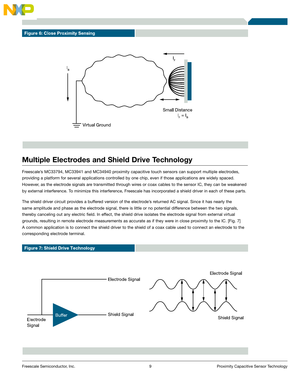



### Multiple Electrodes and Shield Drive Technology

Freescale's MC33794, MC33941 and MC34940 proximity capacitive touch sensors can support multiple electrodes, providing a platform for several applications controlled by one chip, even if those applications are widely spaced. However, as the electrode signals are transmitted through wires or coax cables to the sensor IC, they can be weakened by external interference. To minimize this interference, Freescale has incorporated a shield driver in each of these parts.

The shield driver circuit provides a buffered version of the electrode's returned AC signal. Since it has nearly the same amplitude and phase as the electrode signal, there is little or no potential difference between the two signals, thereby canceling out any electric field. In effect, the shield drive isolates the electrode signal from external virtual grounds, resulting in remote electrode measurements as accurate as if they were in close proximity to the IC. [Fig. 7] A common application is to connect the shield driver to the shield of a coax cable used to connect an electrode to the corresponding electrode terminal.

#### **Figure 7: Shield Drive Technology**

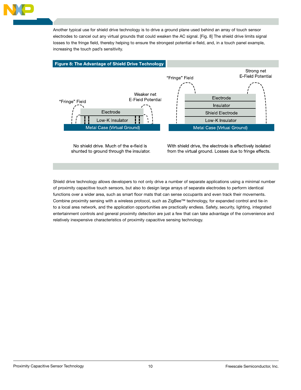

Another typical use for shield drive technology is to drive a ground plane used behind an array of touch sensor electrodes to cancel out any virtual grounds that could weaken the AC signal. [Fig. 8] The shield drive limits signal losses to the fringe field, thereby helping to ensure the strongest potential e-field, and, in a touch panel example, increasing the touch pad's sensitivity.



No shield drive. Much of the e-field is shunted to ground through the insulator. With shield drive, the electrode is effectively isolated from the virtual ground. Losses due to fringe effects.

Shield drive technology allows developers to not only drive a number of separate applications using a minimal number of proximity capacitive touch sensors, but also to design large arrays of separate electrodes to perform identical functions over a wider area, such as smart floor mats that can sense occupants and even track their movements. Combine proximity sensing with a wireless protocol, such as ZigBee™ technology, for expanded control and tie-in to a local area network, and the application opportunities are practically endless. Safety, security, lighting, integrated entertainment controls and general proximity detection are just a few that can take advantage of the convenience and relatively inexpensive characteristics of proximity capacitive sensing technology.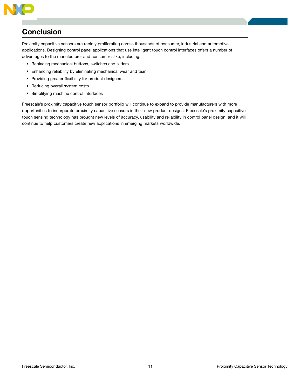

## **Conclusion**

Proximity capacitive sensors are rapidly proliferating across thousands of consumer, industrial and automotive applications. Designing control panel applications that use intelligent touch control interfaces offers a number of advantages to the manufacturer and consumer alike, including:

- Replacing mechanical buttons, switches and sliders
- Enhancing reliability by eliminating mechanical wear and tear
- Providing greater flexibility for product designers
- Reducing overall system costs
- Simplifying machine control interfaces

Freescale's proximity capacitive touch sensor portfolio will continue to expand to provide manufacturers with more opportunities to incorporate proximity capacitive sensors in their new product designs. Freescale's proximity capacitive touch sensing technology has brought new levels of accuracy, usability and reliability in control panel design, and it will continue to help customers create new applications in emerging markets worldwide.